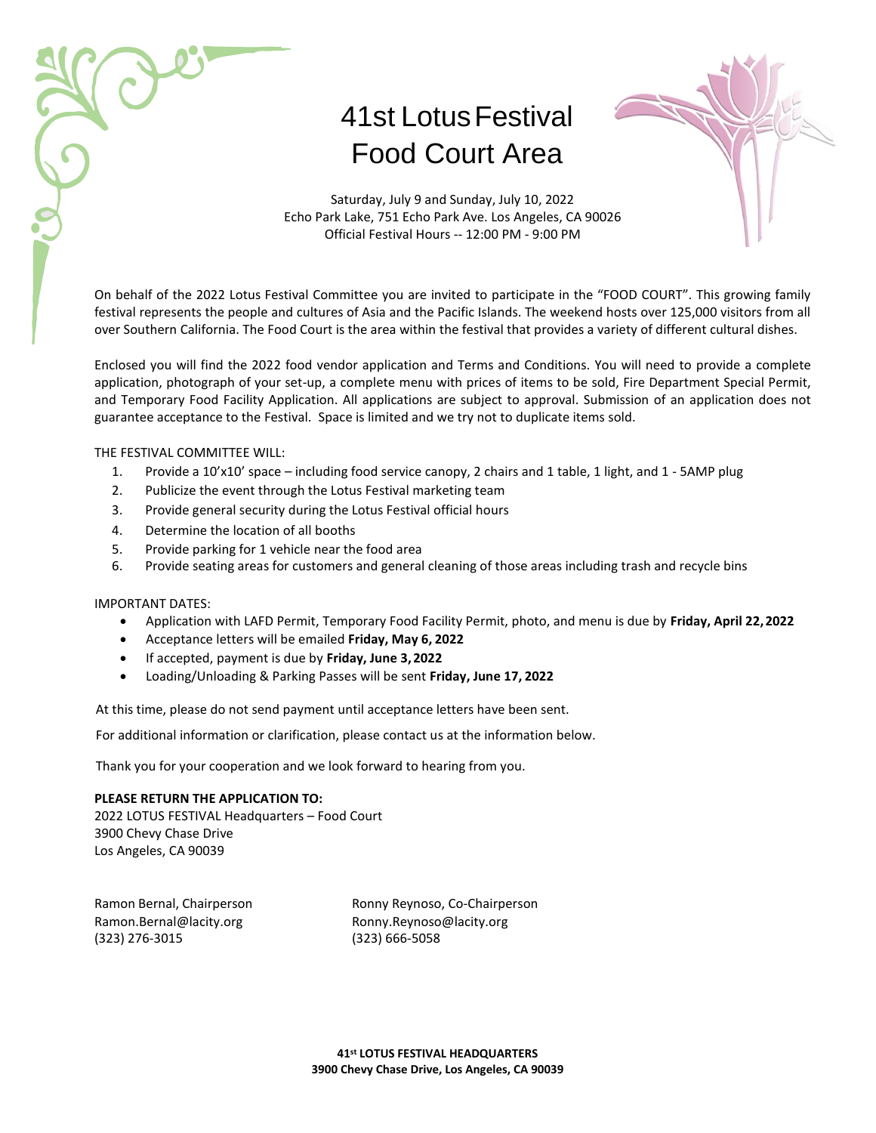# 41st LotusFestival Food Court Area



Saturday, July 9 and Sunday, July 10, 2022 Echo Park Lake, 751 Echo Park Ave. Los Angeles, CA 90026 Official Festival Hours -- 12:00 PM - 9:00 PM

On behalf of the 2022 Lotus Festival Committee you are invited to participate in the "FOOD COURT". This growing family festival represents the people and cultures of Asia and the Pacific Islands. The weekend hosts over 125,000 visitors from all over Southern California. The Food Court is the area within the festival that provides a variety of different cultural dishes.

Enclosed you will find the 2022 food vendor application and Terms and Conditions. You will need to provide a complete application, photograph of your set-up, a complete menu with prices of items to be sold, Fire Department Special Permit, and Temporary Food Facility Application. All applications are subject to approval. Submission of an application does not guarantee acceptance to the Festival. Space is limited and we try not to duplicate items sold.

### THE FESTIVAL COMMITTEE WILL:

- 1. Provide a 10'x10' space including food service canopy, 2 chairs and 1 table, 1 light, and 1 5AMP plug
- 2. Publicize the event through the Lotus Festival marketing team
- 3. Provide general security during the Lotus Festival official hours
- 4. Determine the location of all booths
- 5. Provide parking for 1 vehicle near the food area
- 6. Provide seating areas for customers and general cleaning of those areas including trash and recycle bins

#### IMPORTANT DATES:

- Application with LAFD Permit, Temporary Food Facility Permit, photo, and menu is due by **Friday, April 22,2022**
- Acceptance letters will be emailed **Friday, May 6, 2022**
- If accepted, payment is due by **Friday, June 3, 2022**
- Loading/Unloading & Parking Passes will be sent **Friday, June 17, 2022**

At this time, please do not send payment until acceptance letters have been sent.

For additional information or clarification, please contact us at the information below.

Thank you for your cooperation and we look forward to hearing from you.

#### **PLEASE RETURN THE APPLICATION TO:**

2022 LOTUS FESTIVAL Headquarters – Food Court 3900 Chevy Chase Drive Los Angeles, CA 90039

(323) 276-3015 (323) 666-5058

Ramon Bernal, Chairperson Ronny Reynoso, Co-Chairperson [Ramon.Bernal@lacity.org](mailto:Ramon.Bernal@lacity.org) [Ronny.Reynoso@lacity.org](mailto:Ronny.Reynoso@lacity.org)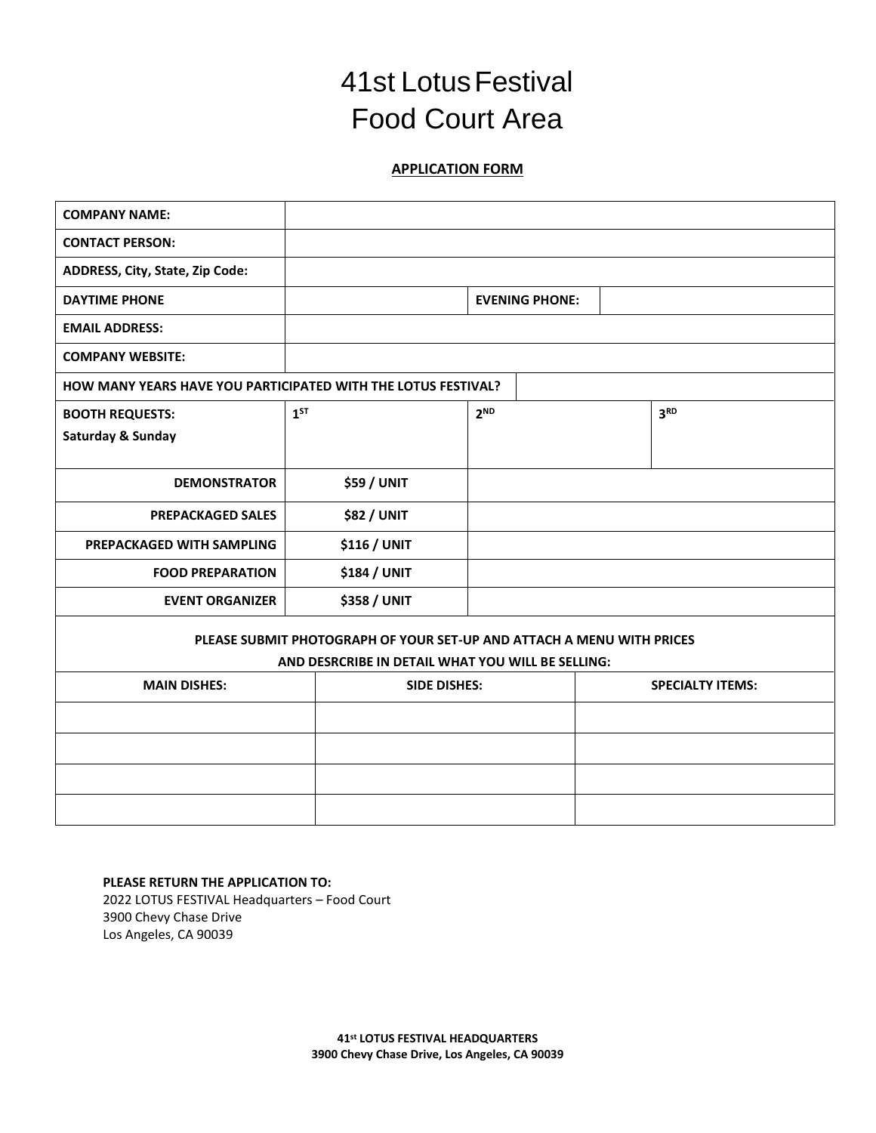### **41st Lotus Festival** Food Court Area

### **APPLICATION FORM**

| <b>COMPANY NAME:</b>                                                  |          |                     |                 |                       |                         |                 |  |
|-----------------------------------------------------------------------|----------|---------------------|-----------------|-----------------------|-------------------------|-----------------|--|
| <b>CONTACT PERSON:</b>                                                |          |                     |                 |                       |                         |                 |  |
| ADDRESS, City, State, Zip Code:                                       |          |                     |                 |                       |                         |                 |  |
| <b>DAYTIME PHONE</b>                                                  |          |                     |                 | <b>EVENING PHONE:</b> |                         |                 |  |
| <b>EMAIL ADDRESS:</b>                                                 |          |                     |                 |                       |                         |                 |  |
| <b>COMPANY WEBSITE:</b>                                               |          |                     |                 |                       |                         |                 |  |
| <b>HOW MANY YEARS HAVE YOU PARTICIPATED WITH THE LOTUS FESTIVAL?</b>  |          |                     |                 |                       |                         |                 |  |
| <b>BOOTH REQUESTS:</b>                                                | $1^{ST}$ |                     | 2 <sup>ND</sup> |                       |                         | 3 <sup>RD</sup> |  |
| Saturday & Sunday                                                     |          |                     |                 |                       |                         |                 |  |
| <b>DEMONSTRATOR</b>                                                   |          | <b>\$59 / UNIT</b>  |                 |                       |                         |                 |  |
|                                                                       |          |                     |                 |                       |                         |                 |  |
| <b>PREPACKAGED SALES</b>                                              |          | <b>\$82 / UNIT</b>  |                 |                       |                         |                 |  |
| PREPACKAGED WITH SAMPLING                                             |          | \$116 / UNIT        |                 |                       |                         |                 |  |
| <b>FOOD PREPARATION</b>                                               |          | \$184 / UNIT        |                 |                       |                         |                 |  |
| <b>EVENT ORGANIZER</b>                                                |          | <b>\$358 / UNIT</b> |                 |                       |                         |                 |  |
| PLEASE SUBMIT PHOTOGRAPH OF YOUR SET-UP AND ATTACH A MENU WITH PRICES |          |                     |                 |                       |                         |                 |  |
| AND DESRCRIBE IN DETAIL WHAT YOU WILL BE SELLING:                     |          |                     |                 |                       |                         |                 |  |
| <b>MAIN DISHES:</b>                                                   |          | <b>SIDE DISHES:</b> |                 |                       | <b>SPECIALTY ITEMS:</b> |                 |  |
|                                                                       |          |                     |                 |                       |                         |                 |  |
|                                                                       |          |                     |                 |                       |                         |                 |  |
|                                                                       |          |                     |                 |                       |                         |                 |  |
|                                                                       |          |                     |                 |                       |                         |                 |  |

**PLEASE RETURN THE APPLICATION TO:** 2022 LOTUS FESTIVAL Headquarters – Food Court 3900 Chevy Chase Drive Los Angeles, CA 90039

> **41 st LOTUS FESTIVAL HEADQUARTERS 3900 Chevy Chase Drive, Los Angeles, CA 90039**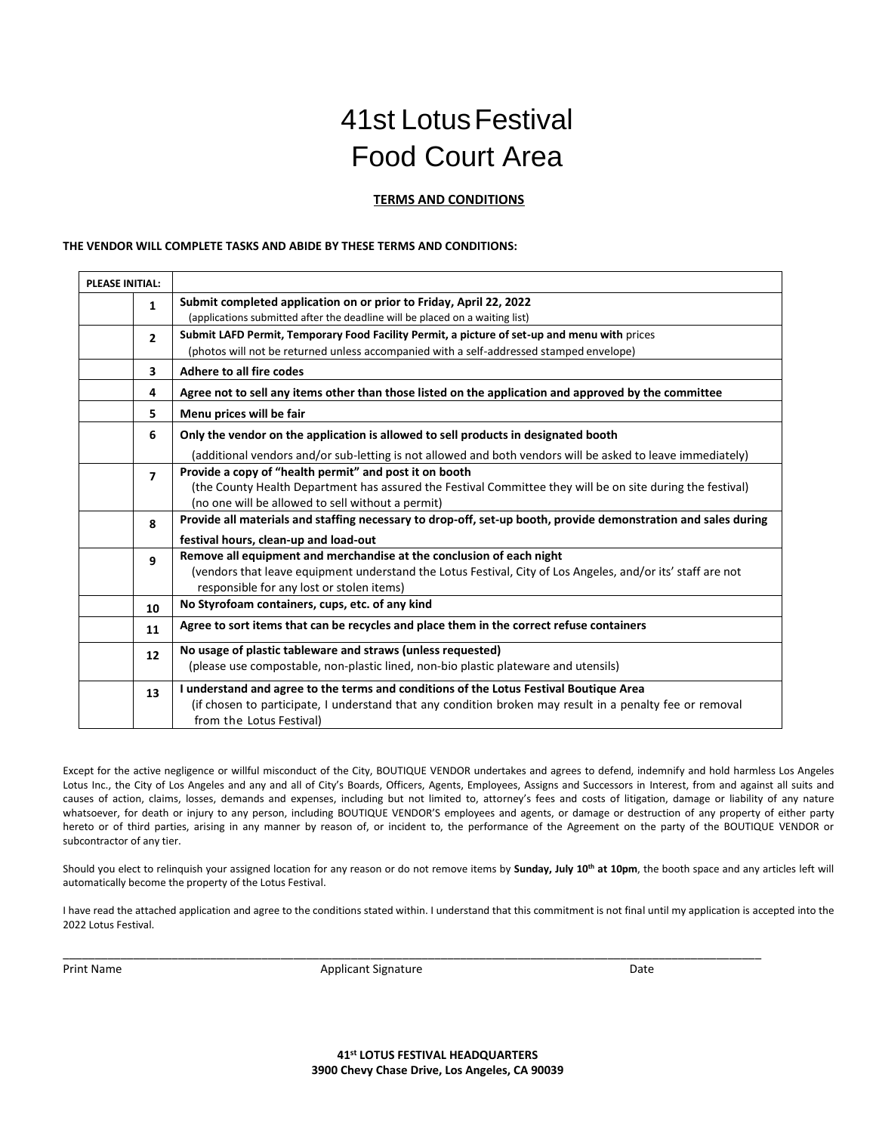## 41st LotusFestival Food Court Area

### **TERMS AND CONDITIONS**

#### **THE VENDOR WILL COMPLETE TASKS AND ABIDE BY THESE TERMS AND CONDITIONS:**

| <b>PLEASE INITIAL:</b> |                |                                                                                                                |
|------------------------|----------------|----------------------------------------------------------------------------------------------------------------|
|                        | 1              | Submit completed application on or prior to Friday, April 22, 2022                                             |
|                        |                | (applications submitted after the deadline will be placed on a waiting list)                                   |
|                        | $\overline{2}$ | Submit LAFD Permit, Temporary Food Facility Permit, a picture of set-up and menu with prices                   |
|                        |                | (photos will not be returned unless accompanied with a self-addressed stamped envelope)                        |
|                        | 3              | Adhere to all fire codes                                                                                       |
|                        | 4              | Agree not to sell any items other than those listed on the application and approved by the committee           |
|                        | 5              | Menu prices will be fair                                                                                       |
|                        | 6              | Only the vendor on the application is allowed to sell products in designated booth                             |
|                        |                | (additional vendors and/or sub-letting is not allowed and both vendors will be asked to leave immediately)     |
|                        | $\overline{7}$ | Provide a copy of "health permit" and post it on booth                                                         |
|                        |                | (the County Health Department has assured the Festival Committee they will be on site during the festival)     |
|                        |                | (no one will be allowed to sell without a permit)                                                              |
|                        | 8              | Provide all materials and staffing necessary to drop-off, set-up booth, provide demonstration and sales during |
|                        |                | festival hours, clean-up and load-out                                                                          |
|                        | 9              | Remove all equipment and merchandise at the conclusion of each night                                           |
|                        |                | (vendors that leave equipment understand the Lotus Festival, City of Los Angeles, and/or its' staff are not    |
|                        |                | responsible for any lost or stolen items)                                                                      |
|                        | 10             | No Styrofoam containers, cups, etc. of any kind                                                                |
|                        | 11             | Agree to sort items that can be recycles and place them in the correct refuse containers                       |
|                        | 12             | No usage of plastic tableware and straws (unless requested)                                                    |
|                        |                | (please use compostable, non-plastic lined, non-bio plastic plateware and utensils)                            |
|                        | 13             | I understand and agree to the terms and conditions of the Lotus Festival Boutique Area                         |
|                        |                | (if chosen to participate, I understand that any condition broken may result in a penalty fee or removal       |
|                        |                | from the Lotus Festival)                                                                                       |

Except for the active negligence or willful misconduct of the City, BOUTIQUE VENDOR undertakes and agrees to defend, indemnify and hold harmless Los Angeles Lotus Inc., the City of Los Angeles and any and all of City's Boards, Officers, Agents, Employees, Assigns and Successors in Interest, from and against all suits and causes of action, claims, losses, demands and expenses, including but not limited to, attorney's fees and costs of litigation, damage or liability of any nature whatsoever, for death or injury to any person, including BOUTIQUE VENDOR'S employees and agents, or damage or destruction of any property of either party hereto or of third parties, arising in any manner by reason of, or incident to, the performance of the Agreement on the party of the BOUTIQUE VENDOR or subcontractor of any tier.

Should you elect to relinquish your assigned location for any reason or do not remove items by **Sunday, July 10th at 10pm**, the booth space and any articles left will automatically become the property of the Lotus Festival.

I have read the attached application and agree to the conditions stated within. I understand that this commitment is not final until my application is accepted into the 2022 Lotus Festival.

Print Name **Applicant Signature Community** Date

\_\_\_\_\_\_\_\_\_\_\_\_\_\_\_\_\_\_\_\_\_\_\_\_\_\_\_\_\_\_\_\_\_\_\_\_\_\_\_\_\_\_\_\_\_\_\_\_\_\_\_\_\_\_\_\_\_\_\_\_\_\_\_\_\_\_\_\_\_\_\_\_\_\_\_\_\_\_\_\_\_\_\_\_\_\_\_\_\_\_\_\_\_\_\_\_\_\_\_\_\_\_\_\_\_\_\_\_\_

**41st LOTUS FESTIVAL HEADQUARTERS 3900 Chevy Chase Drive, Los Angeles, CA 90039**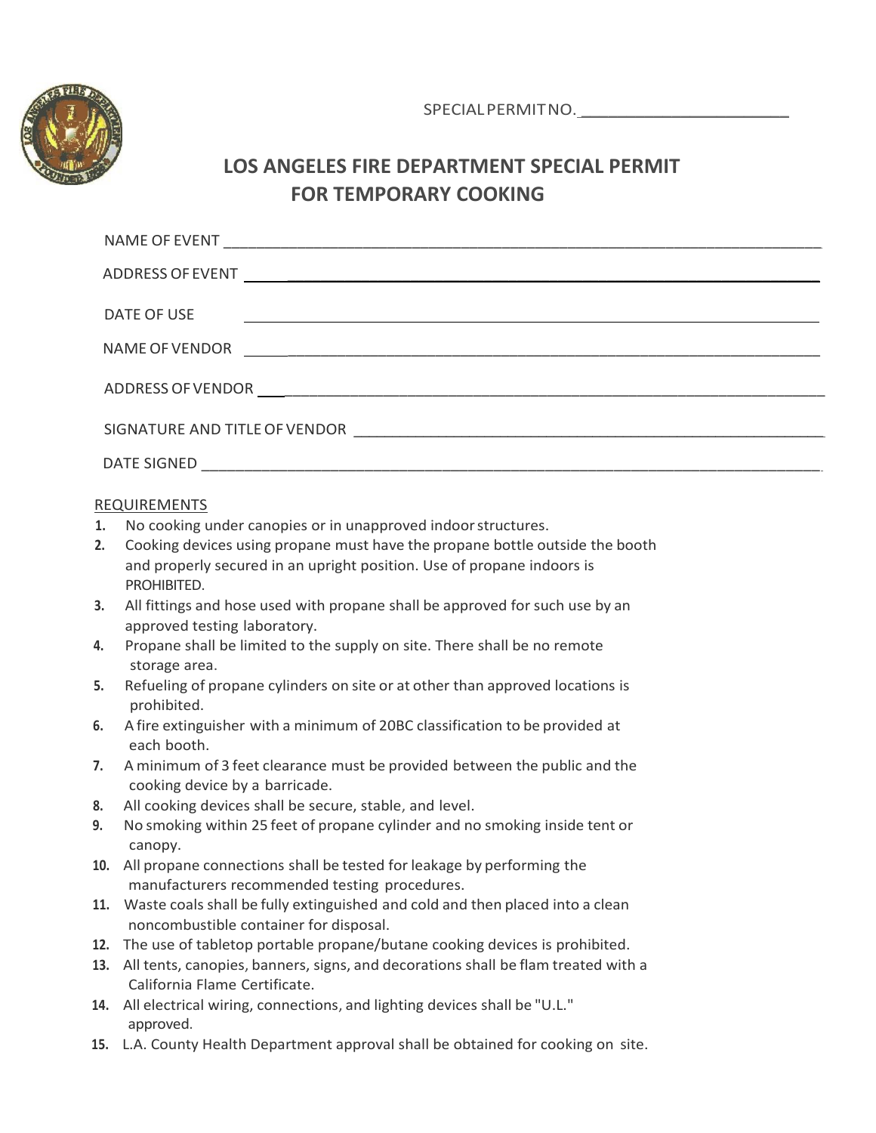

SPECIALPERMITNO. \_\_\_\_\_\_\_\_\_\_\_\_\_\_\_\_\_\_\_\_\_\_\_

### **LOS ANGELES FIRE DEPARTMENT SPECIAL PERMIT FOR TEMPORARY COOKING**

| DATE OF USE<br><u> Alexandria de la contrada de la contrada de la contrada de la contrada de la contrada de la contrada de la c</u> |  |  |  |  |
|-------------------------------------------------------------------------------------------------------------------------------------|--|--|--|--|
| NAME OF VENDOR                                                                                                                      |  |  |  |  |
|                                                                                                                                     |  |  |  |  |
|                                                                                                                                     |  |  |  |  |
| DATE SIGNED                                                                                                                         |  |  |  |  |

### REQUIREMENTS

- **1.** No cooking under canopies or in unapproved indoorstructures.
- **2.** Cooking devices using propane must have the propane bottle outside the booth and properly secured in an upright position. Use of propane indoors is PROHIBITED.
- **3.** All fittings and hose used with propane shall be approved for such use by an approved testing laboratory.
- **4.** Propane shall be limited to the supply on site. There shall be no remote storage area.
- **5.** Refueling of propane cylinders on site or at other than approved locations is prohibited.
- **6.** A fire extinguisher with a minimum of 20BC classification to be provided at each booth.
- **7.** A minimum of 3 feet clearance must be provided between the public and the cooking device by a barricade.
- **8.** All cooking devices shall be secure, stable, and level.
- **9.** No smoking within 25 feet of propane cylinder and no smoking inside tent or canopy.
- **10.** All propane connections shall be tested for leakage by performing the manufacturers recommended testing procedures.
- **11.** Waste coals shall be fully extinguished and cold and then placed into a clean noncombustible container for disposal.
- **12.** The use of tabletop portable propane/butane cooking devices is prohibited.
- **13.** All tents, canopies, banners, signs, and decorations shall be flam treated with a California Flame Certificate.
- **14.** All electrical wiring, connections, and lighting devices shall be "U.L." approved.
- **15.** L.A. County Health Department approval shall be obtained for cooking on site.